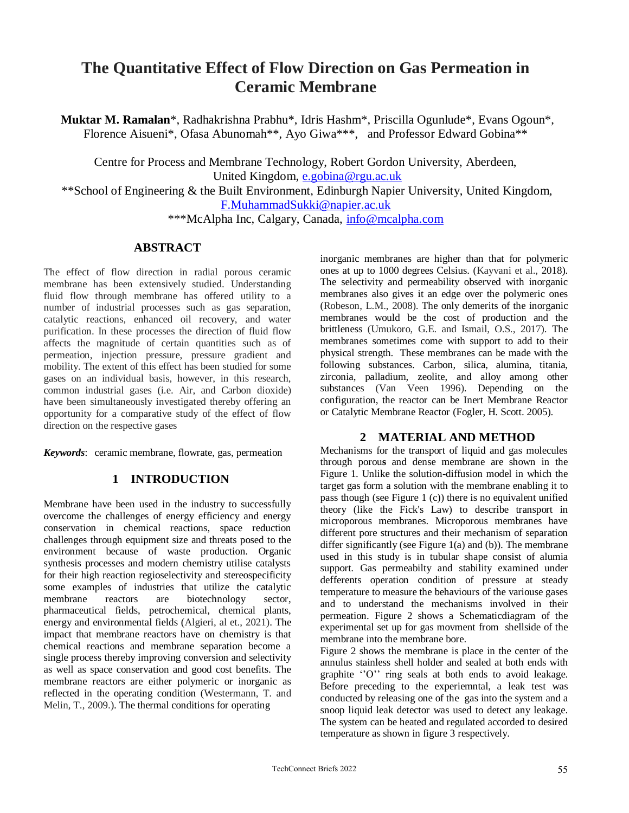# **The Quantitative Effect of Flow Direction on Gas Permeation in Ceramic Membrane**

**Muktar M. Ramalan**\*, Radhakrishna Prabhu\*, Idris Hashm\*, Priscilla Ogunlude\*, Evans Ogoun\*, Florence Aisueni\*, Ofasa Abunomah\*\*, Ayo Giwa\*\*\*, and Professor Edward Gobina\*\*

Centre for Process and Membrane Technology, Robert Gordon University, Aberdeen, United Kingdom, [e.gobina@rgu.ac.uk](mailto:e.gobina@rgu.ac.uk)

\*\*School of Engineering & the Built Environment, Edinburgh Napier University, United Kingdom, [F.MuhammadSukki@napier.ac.uk](mailto:F.MuhammadSukki@napier.ac.uk)

\*\*\*McAlpha Inc, Calgary, Canada, [info@mcalpha.com](mailto:info@mcalpha.com)

# **ABSTRACT**

The effect of flow direction in radial porous ceramic membrane has been extensively studied. Understanding fluid flow through membrane has offered utility to a number of industrial processes such as gas separation, catalytic reactions, enhanced oil recovery, and water purification. In these processes the direction of fluid flow affects the magnitude of certain quantities such as of permeation, injection pressure, pressure gradient and mobility. The extent of this effect has been studied for some gases on an individual basis, however, in this research, common industrial gases (i.e. Air, and Carbon dioxide) have been simultaneously investigated thereby offering an opportunity for a comparative study of the effect of flow direction on the respective gases

*Keywords*: ceramic membrane, flowrate, gas, permeation

# **1 INTRODUCTION**

Membrane have been used in the industry to successfully overcome the challenges of energy efficiency and energy conservation in chemical reactions, space reduction challenges through equipment size and threats posed to the environment because of waste production. Organic synthesis processes and modern chemistry utilise catalysts for their high reaction regioselectivity and stereospecificity some examples of industries that utilize the catalytic membrane reactors are biotechnology sector, pharmaceutical fields, petrochemical, chemical plants, energy and environmental fields (Algieri, al et., 2021). The impact that membrane reactors have on chemistry is that chemical reactions and membrane separation become a single process thereby improving conversion and selectivity as well as space conservation and good cost benefits. The membrane reactors are either polymeric or inorganic as reflected in the operating condition (Westermann, T. and Melin, T., 2009.). The thermal conditions for operating

inorganic membranes are higher than that for polymeric ones at up to 1000 degrees Celsius. (Kayvani et al., 2018). The selectivity and permeability observed with inorganic membranes also gives it an edge over the polymeric ones (Robeson, L.M., 2008). The only demerits of the inorganic membranes would be the cost of production and the brittleness (Umukoro, G.E. and Ismail, O.S., 2017). The membranes sometimes come with support to add to their physical strength. These membranes can be made with the following substances. Carbon, silica, alumina, titania, zirconia, palladium, zeolite, and alloy among other substances (Van Veen 1996). Depending on the configuration, the reactor can be Inert Membrane Reactor or Catalytic Membrane Reactor (Fogler, H. Scott. 2005).

# **2 MATERIAL AND METHOD**

Mechanisms for the transport of liquid and gas molecules through porou**s** and dense membrane are shown in the [Figure](http://www.separationprocesses.com/Membrane/MT_FigGen23.htm) 1. Unlike the solution-diffusion model in which the target gas form a solution with the membrane enabling it to pass though (see Figure 1 (c)) there is no equivalent unified theory (like the Fick's Law) to describe transport in microporous membranes. Microporous membranes have different pore structures and their mechanism of separation differ significantly (see Figure 1(a) and (b)). The membrane used in this study is in tubular shape consist of alumia support. Gas permeabilty and stability examined under defferents operation condition of pressure at steady temperature to measure the behaviours of the variouse gases and to understand the mechanisms involved in their permeation. Figure 2 shows a Schematicdiagram of the experimental set up for gas movment from shellside of the membrane into the membrane bore.

Figure 2 shows the membrane is place in the center of the annulus stainless shell holder and sealed at both ends with graphite ''O'' ring seals at both ends to avoid leakage. Before preceding to the experiemntal, a leak test was conducted by releasing one of the gas into the system and a snoop liquid leak detector was used to detect any leakage. The system can be heated and regulated accorded to desired temperature as shown in figure 3 respectively.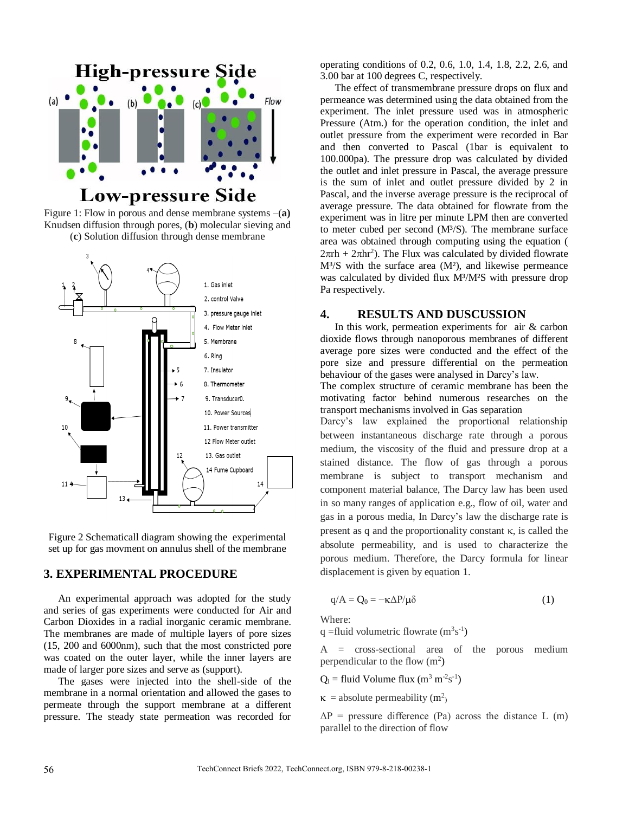

Figure 1: Flow in porous and dense membrane systems –(**a)** Knudsen diffusion through pores, (**b**) molecular sieving and (**c**) Solution diffusion through dense membrane



Figure 2 Schematicall diagram showing the experimental set up for gas movment on annulus shell of the membrane

### **3. EXPERIMENTAL PROCEDURE**

An experimental approach was adopted for the study and series of gas experiments were conducted for Air and Carbon Dioxides in a radial inorganic ceramic membrane. The membranes are made of multiple layers of pore sizes (15, 200 and 6000nm), such that the most constricted pore was coated on the outer layer, while the inner layers are made of larger pore sizes and serve as (support).

The gases were injected into the shell-side of the membrane in a normal orientation and allowed the gases to permeate through the support membrane at a different pressure. The steady state permeation was recorded for operating conditions of 0.2, 0.6, 1.0, 1.4, 1.8, 2.2, 2.6, and 3.00 bar at 100 degrees C, respectively.

The effect of transmembrane pressure drops on flux and permeance was determined using the data obtained from the experiment. The inlet pressure used was in atmospheric Pressure (Atm.) for the operation condition, the inlet and outlet pressure from the experiment were recorded in Bar and then converted to Pascal (1bar is equivalent to 100.000pa). The pressure drop was calculated by divided the outlet and inlet pressure in Pascal, the average pressure is the sum of inlet and outlet pressure divided by 2 in Pascal, and the inverse average pressure is the reciprocal of average pressure. The data obtained for flowrate from the experiment was in litre per minute LPM then are converted to meter cubed per second (M³/S). The membrane surface area was obtained through computing using the equation (  $2\pi rh + 2\pi hr^2$ ). The Flux was calculated by divided flowrate  $M<sup>3</sup>/S$  with the surface area  $(M<sup>2</sup>)$ , and likewise permeance was calculated by divided flux M<sup>3</sup>/M<sup>2</sup>S with pressure drop Pa respectively.

#### **4. RESULTS AND DUSCUSSION**

In this work, permeation experiments for air & carbon dioxide flows through nanoporous membranes of different average pore sizes were conducted and the effect of the pore size and pressure differential on the permeation behaviour of the gases were analysed in Darcy's law.

The complex structure of ceramic membrane has been the motivating factor behind numerous researches on the transport mechanisms involved in Gas separation

Darcy's law explained the proportional relationship between instantaneous discharge rate through a porous medium, the viscosity of the fluid and pressure drop at a stained distance. The flow of gas through a porous membrane is subject to transport mechanism and component material balance, The Darcy law has been used in so many ranges of application e.g., flow of oil, water and gas in a porous media, In Darcy's law the discharge rate is present as q and the proportionality constant  $\kappa$ , is called the absolute permeability, and is used to characterize the porous medium. Therefore, the Darcy formula for linear displacement is given by equation 1.

$$
q/A = Q_0 = -\kappa \Delta P / \mu \delta \tag{1}
$$

Where:

q = fluid volumetric flowrate  $(m^3s^{-1})$ 

A = cross-sectional area of the porous medium perpendicular to the flow  $(m^2)$ 

 $Q_i$  = fluid Volume flux (m<sup>3</sup> m<sup>-2</sup>s<sup>-1</sup>)

 $\kappa$  = absolute permeability (m<sup>2</sup>)

 $\Delta P$  = pressure difference (Pa) across the distance L (m) parallel to the direction of flow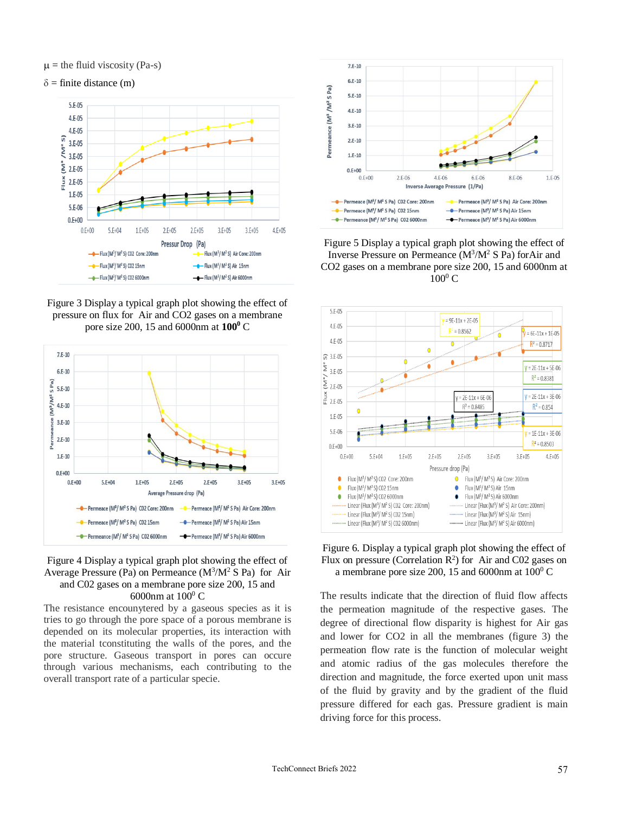$\mu$  = the fluid viscosity (Pa-s)

 $\delta$  = finite distance (m)



Figure 3 Display a typical graph plot showing the effect of pressure on flux for Air and CO2 gases on a membrane pore size 200, 15 and 6000nm at **100<sup>0</sup>** C



#### Figure 4 Display a typical graph plot showing the effect of Average Pressure (Pa) on Permeance  $(M<sup>3</sup>/M<sup>2</sup> S Pa)$  for Air and C02 gases on a membrane pore size 200, 15 and 6000 $\mu$ m at 100 $\rm{^0}$  C

The resistance encounytered by a gaseous species as it is tries to go through the pore space of a porous membrane is depended on its molecular properties, its interaction with the material tconstituting the walls of the pores, and the pore structure. Gaseous transport in pores can occure through various mechanisms, each contributing to the overall transport rate of a particular specie.



Figure 5 Display a typical graph plot showing the effect of Inverse Pressure on Permeance  $(M^3/M^2 S Pa)$  for Air and CO2 gases on a membrane pore size 200, 15 and 6000nm at  $100^0$  C



Figure 6. Display a typical graph plot showing the effect of Flux on pressure (Correlation  $\mathbb{R}^2$ ) for Air and C02 gases on a membrane pore size 200, 15 and 6000nm at  $100^{\circ}$  C

The results indicate that the direction of fluid flow affects the permeation magnitude of the respective gases. The degree of directional flow disparity is highest for Air gas and lower for CO2 in all the membranes (figure 3) the permeation flow rate is the function of molecular weight and atomic radius of the gas molecules therefore the direction and magnitude, the force exerted upon unit mass of the fluid by gravity and by the gradient of the fluid pressure differed for each gas. Pressure gradient is main driving force for this process.